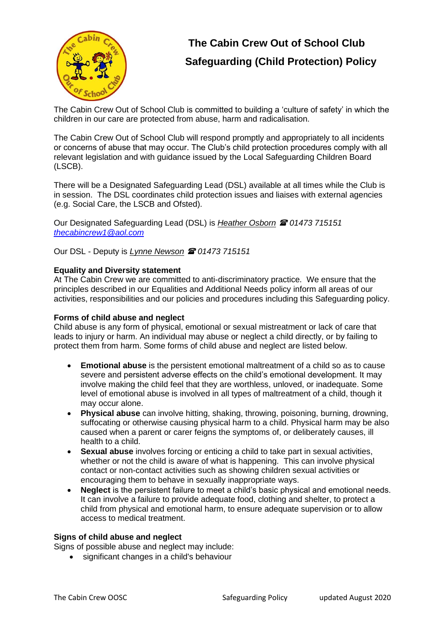

# **The Cabin Crew Out of School Club Safeguarding (Child Protection) Policy**

The Cabin Crew Out of School Club is committed to building a 'culture of safety' in which the children in our care are protected from abuse, harm and radicalisation.

The Cabin Crew Out of School Club will respond promptly and appropriately to all incidents or concerns of abuse that may occur. The Club's child protection procedures comply with all relevant legislation and with guidance issued by the Local Safeguarding Children Board (LSCB).

There will be a Designated Safeguarding Lead (DSL) available at all times while the Club is in session. The DSL coordinates child protection issues and liaises with external agencies (e.g. Social Care, the LSCB and Ofsted).

Our Designated Safeguarding Lead (DSL) is *Heather Osborn* **<sup>2</sup>** 01473 715151 *[thecabincrew1@aol.com](mailto:thecabincrew1@aol.com)*

Our DSL - Deputy is *Lynne Newson 01473 715151*

## **Equality and Diversity statement**

At The Cabin Crew we are committed to anti-discriminatory practice. We ensure that the principles described in our Equalities and Additional Needs policy inform all areas of our activities, responsibilities and our policies and procedures including this Safeguarding policy.

## **Forms of child abuse and neglect**

Child abuse is any form of physical, emotional or sexual mistreatment or lack of care that leads to injury or harm. An individual may abuse or neglect a child directly, or by failing to protect them from harm. Some forms of child abuse and neglect are listed below.

- **Emotional abuse** is the persistent emotional maltreatment of a child so as to cause severe and persistent adverse effects on the child's emotional development. It may involve making the child feel that they are worthless, unloved, or inadequate. Some level of emotional abuse is involved in all types of maltreatment of a child, though it may occur alone.
- **Physical abuse** can involve hitting, shaking, throwing, poisoning, burning, drowning, suffocating or otherwise causing physical harm to a child. Physical harm may be also caused when a parent or carer feigns the symptoms of, or deliberately causes, ill health to a child.
- **Sexual abuse** involves forcing or enticing a child to take part in sexual activities, whether or not the child is aware of what is happening. This can involve physical contact or non-contact activities such as showing children sexual activities or encouraging them to behave in sexually inappropriate ways.
- **Neglect** is the persistent failure to meet a child's basic physical and emotional needs. It can involve a failure to provide adequate food, clothing and shelter, to protect a child from physical and emotional harm, to ensure adequate supervision or to allow access to medical treatment.

## **Signs of child abuse and neglect**

Signs of possible abuse and neglect may include:

• significant changes in a child's behaviour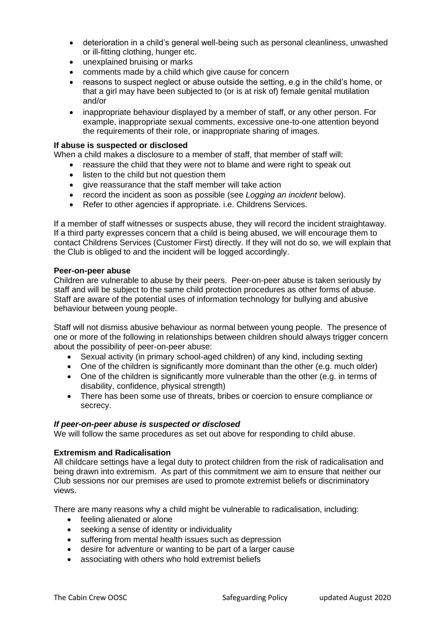- deterioration in a child's general well-being such as personal cleanliness, unwashed or ill-fitting clothing, hunger etc.
- unexplained bruising or marks
- comments made by a child which give cause for concern
- reasons to suspect neglect or abuse outside the setting, e.g in the child's home, or that a girl may have been subjected to (or is at risk of) female genital mutilation and/or
- inappropriate behaviour displayed by a member of staff, or any other person. For example, inappropriate sexual comments, excessive one-to-one attention beyond the requirements of their role, or inappropriate sharing of images.

#### **If abuse is suspected or disclosed**

When a child makes a disclosure to a member of staff, that member of staff will:

- reassure the child that they were not to blame and were right to speak out
- listen to the child but not question them
- give reassurance that the staff member will take action
- record the incident as soon as possible (see *Logging an incident* below).
- Refer to other agencies if appropriate. i.e. Childrens Services.

If a member of staff witnesses or suspects abuse, they will record the incident straightaway. If a third party expresses concern that a child is being abused, we will encourage them to contact Childrens Services (Customer First) directly. If they will not do so, we will explain that the Club is obliged to and the incident will be logged accordingly.

#### **Peer-on-peer abuse**

Children are vulnerable to abuse by their peers. Peer-on-peer abuse is taken seriously by staff and will be subject to the same child protection procedures as other forms of abuse. Staff are aware of the potential uses of information technology for bullying and abusive behaviour between young people.

Staff will not dismiss abusive behaviour as normal between young people. The presence of one or more of the following in relationships between children should always trigger concern about the possibility of peer-on-peer abuse:

- Sexual activity (in primary school-aged children) of any kind, including sexting
- One of the children is significantly more dominant than the other (e.g. much older)
- One of the children is significantly more vulnerable than the other (e.g. in terms of disability, confidence, physical strength)
- There has been some use of threats, bribes or coercion to ensure compliance or secrecy.

#### *If peer-on-peer abuse is suspected or disclosed*

We will follow the same procedures as set out above for responding to child abuse.

#### **Extremism and Radicalisation**

All childcare settings have a legal duty to protect children from the risk of radicalisation and being drawn into extremism. As part of this commitment we aim to ensure that neither our Club sessions nor our premises are used to promote extremist beliefs or discriminatory views.

There are many reasons why a child might be vulnerable to radicalisation, including:

- feeling alienated or alone
- seeking a sense of identity or individuality
- suffering from mental health issues such as depression
- desire for adventure or wanting to be part of a larger cause
- associating with others who hold extremist beliefs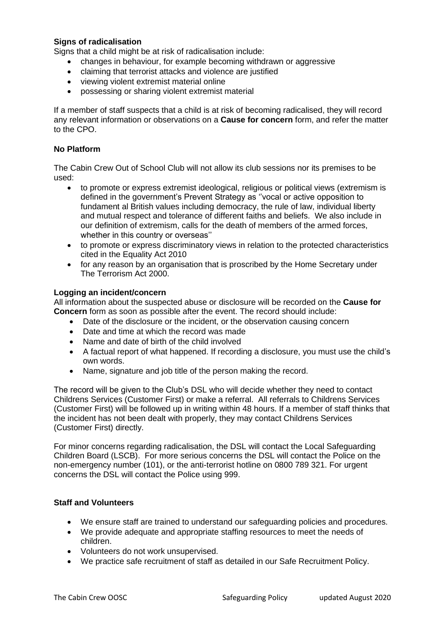## **Signs of radicalisation**

Signs that a child might be at risk of radicalisation include:

- changes in behaviour, for example becoming withdrawn or aggressive
- claiming that terrorist attacks and violence are justified
- viewing violent extremist material online
- possessing or sharing violent extremist material

If a member of staff suspects that a child is at risk of becoming radicalised, they will record any relevant information or observations on a **Cause for concern** form, and refer the matter to the CPO.

## **No Platform**

The Cabin Crew Out of School Club will not allow its club sessions nor its premises to be used:

- to promote or express extremist ideological, religious or political views (extremism is defined in the government's Prevent Strategy as ''vocal or active opposition to fundament al British values including democracy, the rule of law, individual liberty and mutual respect and tolerance of different faiths and beliefs. We also include in our definition of extremism, calls for the death of members of the armed forces, whether in this country or overseas''
- to promote or express discriminatory views in relation to the protected characteristics cited in the Equality Act 2010
- for any reason by an organisation that is proscribed by the Home Secretary under The Terrorism Act 2000.

## **Logging an incident/concern**

All information about the suspected abuse or disclosure will be recorded on the **Cause for Concern** form as soon as possible after the event. The record should include:

- Date of the disclosure or the incident, or the observation causing concern
- Date and time at which the record was made
- Name and date of birth of the child involved
- A factual report of what happened. If recording a disclosure, you must use the child's own words.
- Name, signature and job title of the person making the record.

The record will be given to the Club's DSL who will decide whether they need to contact Childrens Services (Customer First) or make a referral. All referrals to Childrens Services (Customer First) will be followed up in writing within 48 hours. If a member of staff thinks that the incident has not been dealt with properly, they may contact Childrens Services (Customer First) directly.

For minor concerns regarding radicalisation, the DSL will contact the Local Safeguarding Children Board (LSCB). For more serious concerns the DSL will contact the Police on the non-emergency number (101), or the anti-terrorist hotline on 0800 789 321. For urgent concerns the DSL will contact the Police using 999.

## **Staff and Volunteers**

- We ensure staff are trained to understand our safeguarding policies and procedures.
- We provide adequate and appropriate staffing resources to meet the needs of children.
- Volunteers do not work unsupervised.
- We practice safe recruitment of staff as detailed in our Safe Recruitment Policy.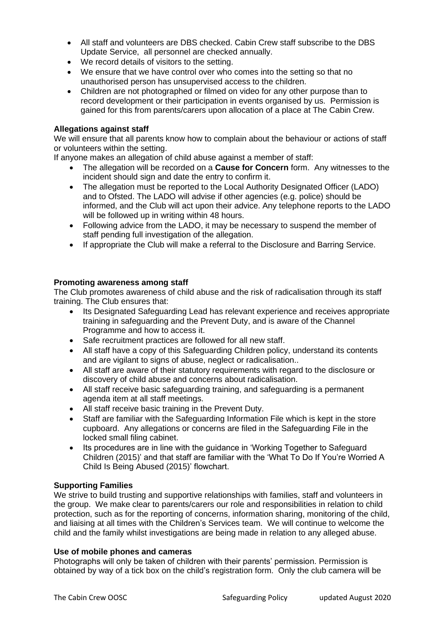- All staff and volunteers are DBS checked. Cabin Crew staff subscribe to the DBS Update Service, all personnel are checked annually.
- We record details of visitors to the setting.
- We ensure that we have control over who comes into the setting so that no unauthorised person has unsupervised access to the children.
- Children are not photographed or filmed on video for any other purpose than to record development or their participation in events organised by us. Permission is gained for this from parents/carers upon allocation of a place at The Cabin Crew.

#### **Allegations against staff**

We will ensure that all parents know how to complain about the behaviour or actions of staff or volunteers within the setting.

If anyone makes an allegation of child abuse against a member of staff:

- The allegation will be recorded on a **Cause for Concern** form. Any witnesses to the incident should sign and date the entry to confirm it.
- The allegation must be reported to the Local Authority Designated Officer (LADO) and to Ofsted. The LADO will advise if other agencies (e.g. police) should be informed, and the Club will act upon their advice. Any telephone reports to the LADO will be followed up in writing within 48 hours.
- Following advice from the LADO, it may be necessary to suspend the member of staff pending full investigation of the allegation.
- If appropriate the Club will make a referral to the Disclosure and Barring Service.

#### **Promoting awareness among staff**

The Club promotes awareness of child abuse and the risk of radicalisation through its staff training. The Club ensures that:

- Its Designated Safeguarding Lead has relevant experience and receives appropriate training in safeguarding and the Prevent Duty, and is aware of the Channel Programme and how to access it.
- Safe recruitment practices are followed for all new staff.
- All staff have a copy of this Safeguarding Children policy, understand its contents and are vigilant to signs of abuse, neglect or radicalisation..
- All staff are aware of their statutory requirements with regard to the disclosure or discovery of child abuse and concerns about radicalisation.
- All staff receive basic safeguarding training, and safeguarding is a permanent agenda item at all staff meetings.
- All staff receive basic training in the Prevent Duty.
- Staff are familiar with the Safeguarding Information File which is kept in the store cupboard. Any allegations or concerns are filed in the Safeguarding File in the locked small filing cabinet.
- Its procedures are in line with the guidance in 'Working Together to Safeguard Children (2015)' and that staff are familiar with the 'What To Do If You're Worried A Child Is Being Abused (2015)' flowchart.

#### **Supporting Families**

We strive to build trusting and supportive relationships with families, staff and volunteers in the group. We make clear to parents/carers our role and responsibilities in relation to child protection, such as for the reporting of concerns, information sharing, monitoring of the child, and liaising at all times with the Children's Services team. We will continue to welcome the child and the family whilst investigations are being made in relation to any alleged abuse.

#### **Use of mobile phones and cameras**

Photographs will only be taken of children with their parents' permission. Permission is obtained by way of a tick box on the child's registration form. Only the club camera will be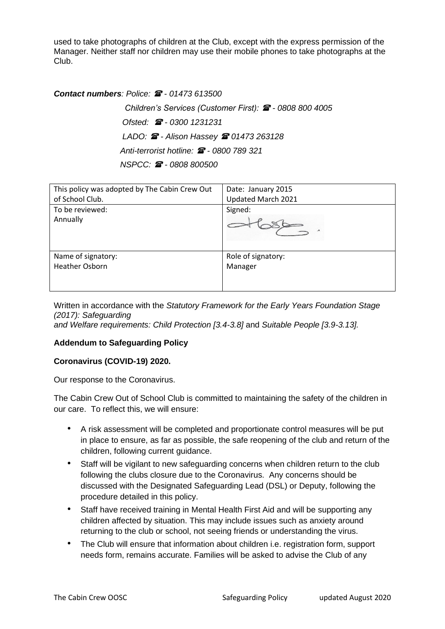used to take photographs of children at the Club, except with the express permission of the Manager. Neither staff nor children may use their mobile phones to take photographs at the Club.

## *Contact numbers: Police: - 01473 613500*

 *Children's Services (Customer First): - 0808 800 4005 Ofsted: - 0300 1231231 LADO: - Alison Hassey 01473 263128 Anti-terrorist hotline: - 0800 789 321 NSPCC: - 0808 800500*

| This policy was adopted by The Cabin Crew Out | Date: January 2015 |
|-----------------------------------------------|--------------------|
| of School Club.                               | Updated March 2021 |
| To be reviewed:                               | Signed:            |
| Annually                                      |                    |
| Name of signatory:                            | Role of signatory: |
| <b>Heather Osborn</b>                         | Manager            |
|                                               |                    |

Written in accordance with the *Statutory Framework for the Early Years Foundation Stage (2017): Safeguarding and Welfare requirements: Child Protection [3.4-3.8]* and *Suitable People [3.9-3.13].*

## **Addendum to Safeguarding Policy**

## **Coronavirus (COVID-19) 2020.**

Our response to the Coronavirus.

The Cabin Crew Out of School Club is committed to maintaining the safety of the children in our care. To reflect this, we will ensure:

- A risk assessment will be completed and proportionate control measures will be put in place to ensure, as far as possible, the safe reopening of the club and return of the children, following current guidance.
- Staff will be vigilant to new safeguarding concerns when children return to the club following the clubs closure due to the Coronavirus. Any concerns should be discussed with the Designated Safeguarding Lead (DSL) or Deputy, following the procedure detailed in this policy.
- Staff have received training in Mental Health First Aid and will be supporting any children affected by situation. This may include issues such as anxiety around returning to the club or school, not seeing friends or understanding the virus.
- The Club will ensure that information about children i.e. registration form, support needs form, remains accurate. Families will be asked to advise the Club of any